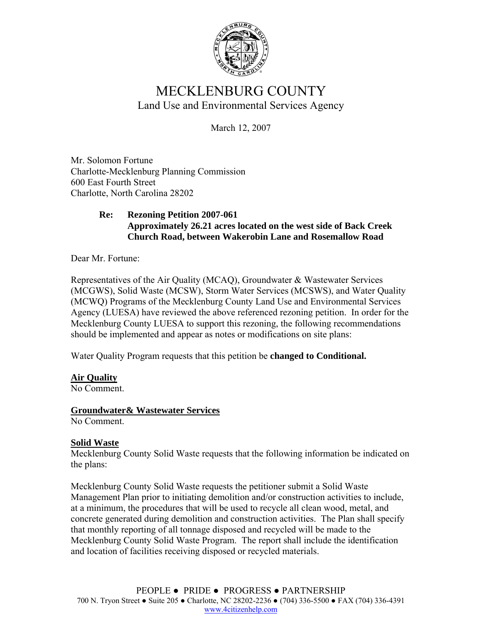

# MECKLENBURG COUNTY Land Use and Environmental Services Agency

March 12, 2007

Mr. Solomon Fortune Charlotte-Mecklenburg Planning Commission 600 East Fourth Street Charlotte, North Carolina 28202

## **Re: Rezoning Petition 2007-061 Approximately 26.21 acres located on the west side of Back Creek Church Road, between Wakerobin Lane and Rosemallow Road**

Dear Mr. Fortune:

Representatives of the Air Quality (MCAQ), Groundwater & Wastewater Services (MCGWS), Solid Waste (MCSW), Storm Water Services (MCSWS), and Water Quality (MCWQ) Programs of the Mecklenburg County Land Use and Environmental Services Agency (LUESA) have reviewed the above referenced rezoning petition. In order for the Mecklenburg County LUESA to support this rezoning, the following recommendations should be implemented and appear as notes or modifications on site plans:

Water Quality Program requests that this petition be **changed to Conditional.** 

# **Air Quality**

No Comment.

## **Groundwater& Wastewater Services**

No Comment.

## **Solid Waste**

Mecklenburg County Solid Waste requests that the following information be indicated on the plans:

Mecklenburg County Solid Waste requests the petitioner submit a Solid Waste Management Plan prior to initiating demolition and/or construction activities to include, at a minimum, the procedures that will be used to recycle all clean wood, metal, and concrete generated during demolition and construction activities. The Plan shall specify that monthly reporting of all tonnage disposed and recycled will be made to the Mecklenburg County Solid Waste Program. The report shall include the identification and location of facilities receiving disposed or recycled materials.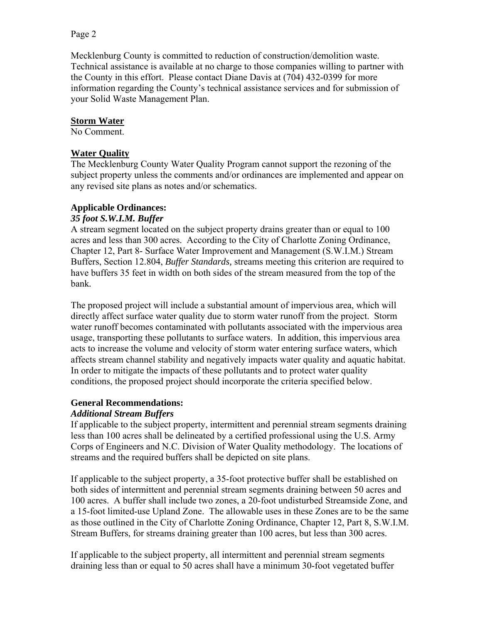#### Page 2

Mecklenburg County is committed to reduction of construction/demolition waste. Technical assistance is available at no charge to those companies willing to partner with the County in this effort. Please contact Diane Davis at (704) 432-0399 for more information regarding the County's technical assistance services and for submission of your Solid Waste Management Plan.

#### **Storm Water**

No Comment.

#### **Water Quality**

The Mecklenburg County Water Quality Program cannot support the rezoning of the subject property unless the comments and/or ordinances are implemented and appear on any revised site plans as notes and/or schematics.

## **Applicable Ordinances:**

#### *35 foot S.W.I.M. Buffer*

A stream segment located on the subject property drains greater than or equal to 100 acres and less than 300 acres. According to the City of Charlotte Zoning Ordinance, Chapter 12, Part 8- Surface Water Improvement and Management (S.W.I.M.) Stream Buffers, Section 12.804, *Buffer Standards,* streams meeting this criterion are required to have buffers 35 feet in width on both sides of the stream measured from the top of the bank*.*

The proposed project will include a substantial amount of impervious area, which will directly affect surface water quality due to storm water runoff from the project. Storm water runoff becomes contaminated with pollutants associated with the impervious area usage, transporting these pollutants to surface waters. In addition, this impervious area acts to increase the volume and velocity of storm water entering surface waters, which affects stream channel stability and negatively impacts water quality and aquatic habitat. In order to mitigate the impacts of these pollutants and to protect water quality conditions, the proposed project should incorporate the criteria specified below.

## **General Recommendations:**

#### *Additional Stream Buffers*

If applicable to the subject property, intermittent and perennial stream segments draining less than 100 acres shall be delineated by a certified professional using the U.S. Army Corps of Engineers and N.C. Division of Water Quality methodology. The locations of streams and the required buffers shall be depicted on site plans.

If applicable to the subject property, a 35-foot protective buffer shall be established on both sides of intermittent and perennial stream segments draining between 50 acres and 100 acres. A buffer shall include two zones, a 20-foot undisturbed Streamside Zone, and a 15-foot limited-use Upland Zone. The allowable uses in these Zones are to be the same as those outlined in the City of Charlotte Zoning Ordinance, Chapter 12, Part 8, S.W.I.M. Stream Buffers, for streams draining greater than 100 acres, but less than 300 acres.

If applicable to the subject property, all intermittent and perennial stream segments draining less than or equal to 50 acres shall have a minimum 30-foot vegetated buffer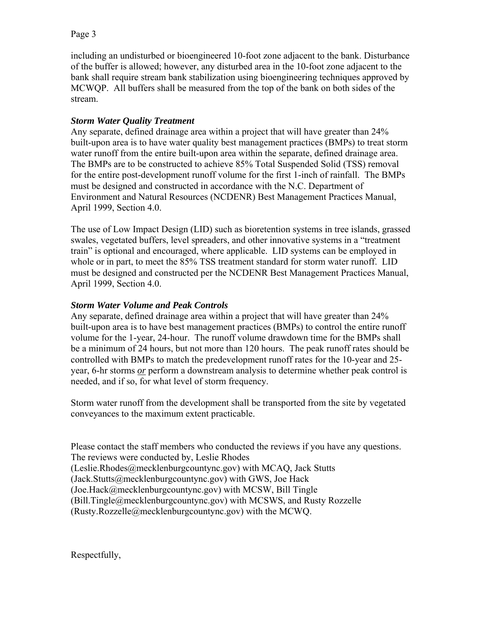# Page 3

including an undisturbed or bioengineered 10-foot zone adjacent to the bank. Disturbance of the buffer is allowed; however, any disturbed area in the 10-foot zone adjacent to the bank shall require stream bank stabilization using bioengineering techniques approved by MCWQP. All buffers shall be measured from the top of the bank on both sides of the stream.

# *Storm Water Quality Treatment*

Any separate, defined drainage area within a project that will have greater than 24% built-upon area is to have water quality best management practices (BMPs) to treat storm water runoff from the entire built-upon area within the separate, defined drainage area. The BMPs are to be constructed to achieve 85% Total Suspended Solid (TSS) removal for the entire post-development runoff volume for the first 1-inch of rainfall. The BMPs must be designed and constructed in accordance with the N.C. Department of Environment and Natural Resources (NCDENR) Best Management Practices Manual, April 1999, Section 4.0.

The use of Low Impact Design (LID) such as bioretention systems in tree islands, grassed swales, vegetated buffers, level spreaders, and other innovative systems in a "treatment train" is optional and encouraged, where applicable. LID systems can be employed in whole or in part, to meet the 85% TSS treatment standard for storm water runoff. LID must be designed and constructed per the NCDENR Best Management Practices Manual, April 1999, Section 4.0.

# *Storm Water Volume and Peak Controls*

Any separate, defined drainage area within a project that will have greater than 24% built-upon area is to have best management practices (BMPs) to control the entire runoff volume for the 1-year, 24-hour. The runoff volume drawdown time for the BMPs shall be a minimum of 24 hours, but not more than 120 hours. The peak runoff rates should be controlled with BMPs to match the predevelopment runoff rates for the 10-year and 25 year, 6-hr storms *or* perform a downstream analysis to determine whether peak control is needed, and if so, for what level of storm frequency.

Storm water runoff from the development shall be transported from the site by vegetated conveyances to the maximum extent practicable.

Please contact the staff members who conducted the reviews if you have any questions. The reviews were conducted by, Leslie Rhodes

(Leslie.Rhodes@mecklenburgcountync.gov) with MCAQ, Jack Stutts

 $(Jack.Stutts@mecklenburgcountync.gov)$  with GWS, Joe Hack

(Joe.Hack@mecklenburgcountync.gov) with MCSW, Bill Tingle

(Bill.Tingle@mecklenburgcountync.gov) with MCSWS, and Rusty Rozzelle

(Rusty.Rozzelle@mecklenburgcountync.gov) with the MCWQ.

Respectfully,